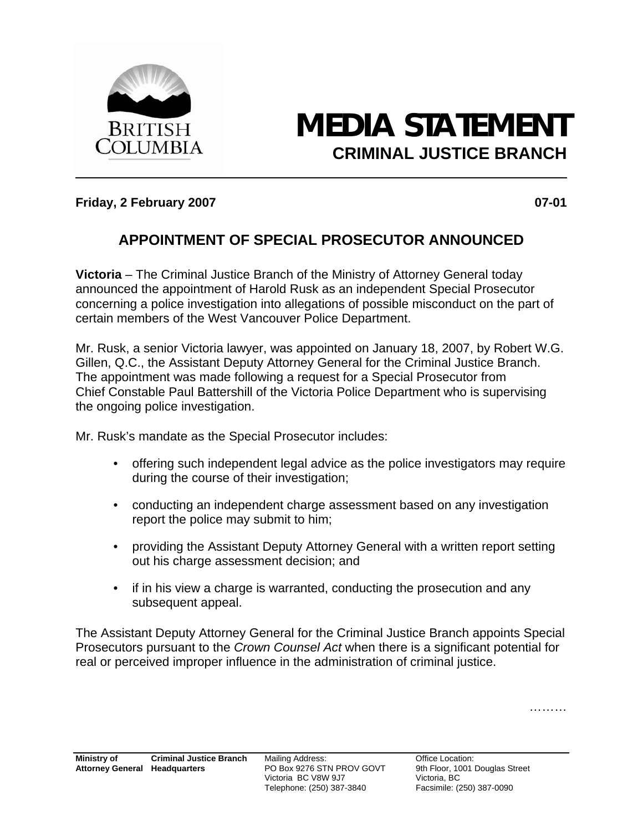

## **MEDIA STATEMENT CRIMINAL JUSTICE BRANCH**

## **Friday, 2 February 2007 07-01**

## **APPOINTMENT OF SPECIAL PROSECUTOR ANNOUNCED**

**Victoria** – The Criminal Justice Branch of the Ministry of Attorney General today announced the appointment of Harold Rusk as an independent Special Prosecutor concerning a police investigation into allegations of possible misconduct on the part of certain members of the West Vancouver Police Department.

Mr. Rusk, a senior Victoria lawyer, was appointed on January 18, 2007, by Robert W.G. Gillen, Q.C., the Assistant Deputy Attorney General for the Criminal Justice Branch. The appointment was made following a request for a Special Prosecutor from Chief Constable Paul Battershill of the Victoria Police Department who is supervising the ongoing police investigation.

Mr. Rusk's mandate as the Special Prosecutor includes:

- offering such independent legal advice as the police investigators may require during the course of their investigation;
- conducting an independent charge assessment based on any investigation report the police may submit to him;
- providing the Assistant Deputy Attorney General with a written report setting out his charge assessment decision; and
- if in his view a charge is warranted, conducting the prosecution and any subsequent appeal.

The Assistant Deputy Attorney General for the Criminal Justice Branch appoints Special Prosecutors pursuant to the *Crown Counsel Act* when there is a significant potential for real or perceived improper influence in the administration of criminal justice.

………